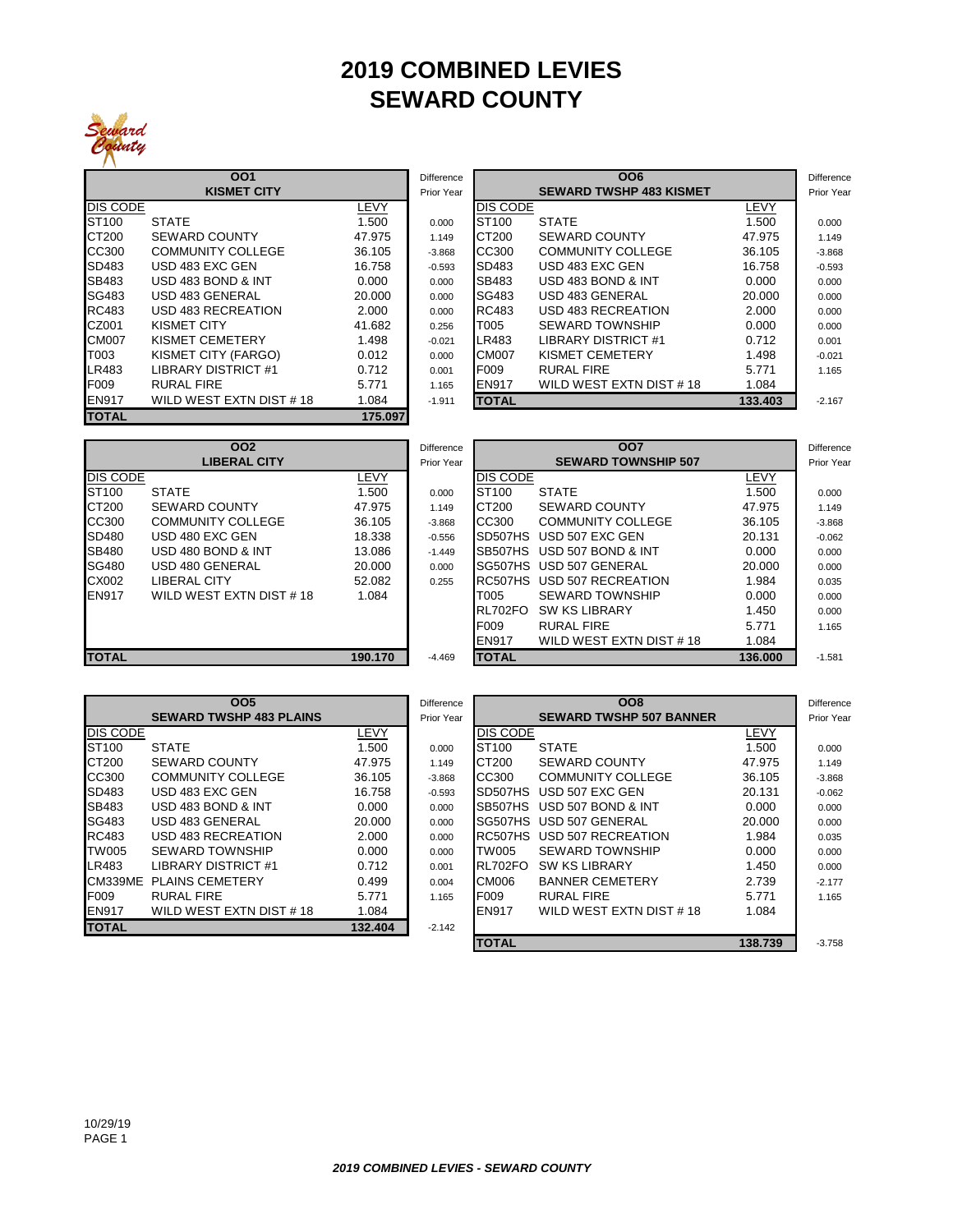## **2019 COMBINED LEVIES SEWARD COUNTY**



|                   | 001                      |         | Difference |                   | <b>OO6</b>                     |        |
|-------------------|--------------------------|---------|------------|-------------------|--------------------------------|--------|
|                   | <b>KISMET CITY</b>       |         | Prior Year |                   | <b>SEWARD TWSHP 483 KISMET</b> |        |
| DIS CODE          |                          | LEVY    |            | <b>DIS CODE</b>   |                                | LEVY   |
| ST <sub>100</sub> | <b>STATE</b>             | 1.500   | 0.000      | ST <sub>100</sub> | <b>STATE</b>                   | 1.500  |
| CT200             | <b>SEWARD COUNTY</b>     | 47.975  | 1.149      | CT200             | <b>SEWARD COUNTY</b>           | 47.975 |
| CC300             | <b>COMMUNITY COLLEGE</b> | 36.105  | $-3.868$   | CC300             | <b>COMMUNITY COLLEGE</b>       | 36.105 |
| SD483             | USD 483 EXC GEN          | 16.758  | $-0.593$   | SD483             | USD 483 EXC GEN                | 16.758 |
| SB483             | USD 483 BOND & INT       | 0.000   | 0.000      | SB483             | USD 483 BOND & INT             | 0.000  |
| SG483             | USD 483 GENERAL          | 20.000  | 0.000      | SG483             | USD 483 GENERAL                | 20.000 |
| RC483             | USD 483 RECREATION       | 2.000   | 0.000      | RC483             | USD 483 RECREATION             | 2.000  |
| CZ001             | <b>KISMET CITY</b>       | 41.682  | 0.256      | T005              | <b>SEWARD TOWNSHIP</b>         | 0.000  |
| <b>CM007</b>      | KISMET CEMETERY          | 1.498   | $-0.021$   | LR483             | LIBRARY DISTRICT #1            | 0.712  |
| T003              | KISMET CITY (FARGO)      | 0.012   | 0.000      | <b>CM007</b>      | KISMET CEMETERY                | 1.498  |
| LR483             | LIBRARY DISTRICT #1      | 0.712   | 0.001      | F <sub>009</sub>  | <b>RURAL FIRE</b>              | 5.771  |
| F009              | <b>RURAL FIRE</b>        | 5.771   | 1.165      | <b>EN917</b>      | WILD WEST EXTN DIST #18        | 1.084  |
| <b>EN917</b>      | WILD WEST EXTN DIST #18  | 1.084   | $-1.911$   | <b>TOTAL</b>      |                                | 133.40 |
| <b>TOTAL</b>      |                          | 175.097 |            |                   |                                |        |

|          | 001                      |        | <b>Difference</b> |                   | <b>OO6</b>                     |         | <b>Difference</b> |
|----------|--------------------------|--------|-------------------|-------------------|--------------------------------|---------|-------------------|
|          | <b>KISMET CITY</b>       |        | Prior Year        |                   | <b>SEWARD TWSHP 483 KISMET</b> |         | Prior Year        |
| DIS CODE |                          | LEVY   |                   | <b>DIS CODE</b>   |                                | LEVY    |                   |
| ST100    | <b>STATE</b>             | 1.500  | 0.000             | ST <sub>100</sub> | <b>STATE</b>                   | 1.500   | 0.000             |
| CT200    | <b>SEWARD COUNTY</b>     | 47.975 | 1.149             | CT200             | <b>SEWARD COUNTY</b>           | 47.975  | 1.149             |
| CC300    | <b>COMMUNITY COLLEGE</b> | 36.105 | $-3.868$          | CC300             | <b>COMMUNITY COLLEGE</b>       | 36.105  | $-3.868$          |
| SD483    | USD 483 EXC GEN          | 16.758 | $-0.593$          | SD483             | USD 483 EXC GEN                | 16.758  | $-0.593$          |
| SB483    | USD 483 BOND & INT       | 0.000  | 0.000             | SB483             | USD 483 BOND & INT             | 0.000   | 0.000             |
| SG483    | USD 483 GENERAL          | 20.000 | 0.000             | SG483             | USD 483 GENERAL                | 20.000  | 0.000             |
| RC483    | USD 483 RECREATION       | 2.000  | 0.000             | RC483             | USD 483 RECREATION             | 2.000   | 0.000             |
| CZ001    | KISMET CITY              | 41.682 | 0.256             | T005              | <b>SEWARD TOWNSHIP</b>         | 0.000   | 0.000             |
| CM007    | <b>KISMET CEMETERY</b>   | 1.498  | $-0.021$          | LR483             | <b>LIBRARY DISTRICT #1</b>     | 0.712   | 0.001             |
| T003     | KISMET CITY (FARGO)      | 0.012  | 0.000             | <b>CM007</b>      | KISMET CEMETERY                | 1.498   | $-0.021$          |
| LR483    | LIBRARY DISTRICT #1      | 0.712  | 0.001             | F <sub>009</sub>  | <b>RURAL FIRE</b>              | 5.771   | 1.165             |
| F009     | <b>RURAL FIRE</b>        | 5.771  | 1.165             | <b>EN917</b>      | WILD WEST EXTN DIST #18        | 1.084   |                   |
| EN917    | WILD WEST EXTN DIST #18  | 1.084  | $-1.911$          | <b>TOTAL</b>      |                                | 133,403 | $-2.167$          |

|                 | 002                      |         | Difference |                   | 007                        |         | <b>Difference</b> |
|-----------------|--------------------------|---------|------------|-------------------|----------------------------|---------|-------------------|
|                 | <b>LIBERAL CITY</b>      |         | Prior Year |                   | <b>SEWARD TOWNSHIP 507</b> |         | Prior Year        |
| <b>DIS CODE</b> |                          | LEVY    |            | <b>DIS CODE</b>   |                            | LEVY    |                   |
| ST100           | <b>STATE</b>             | 1.500   | 0.000      | ST <sub>100</sub> | <b>STATE</b>               | 1.500   | 0.000             |
| CT200           | <b>SEWARD COUNTY</b>     | 47.975  | 1.149      | CT200             | <b>SEWARD COUNTY</b>       | 47.975  | 1.149             |
| CC300           | <b>COMMUNITY COLLEGE</b> | 36.105  | $-3.868$   | CC300             | <b>COMMUNITY COLLEGE</b>   | 36.105  | $-3.868$          |
| SD480           | USD 480 EXC GEN          | 18.338  | $-0.556$   | SD507HS           | USD 507 EXC GEN            | 20.131  | $-0.062$          |
| SB480           | USD 480 BOND & INT       | 13.086  | $-1.449$   | SB507HS           | USD 507 BOND & INT         | 0.000   | 0.000             |
| <b>SG480</b>    | USD 480 GENERAL          | 20,000  | 0.000      |                   | SG507HS USD 507 GENERAL    | 20.000  | 0.000             |
| CX002           | LIBERAL CITY             | 52.082  | 0.255      |                   | RC507HS USD 507 RECREATION | 1.984   | 0.035             |
| EN917           | WILD WEST EXTN DIST #18  | 1.084   |            | T005              | <b>SEWARD TOWNSHIP</b>     | 0.000   | 0.000             |
|                 |                          |         |            | RL702FO           | <b>SW KS LIBRARY</b>       | 1.450   | 0.000             |
|                 |                          |         |            | F009              | <b>RURAL FIRE</b>          | 5.771   | 1.165             |
|                 |                          |         |            | EN917             | WILD WEST EXTN DIST #18    | 1.084   |                   |
| <b>TOTAL</b>    |                          | 190.170 | $-4.469$   | <b>TOTAL</b>      |                            | 136,000 | $-1.581$          |

|                 | <b>OO5</b>                     |         | Difference |                   | <b>OO8</b>                     |         | <b>Difference</b> |
|-----------------|--------------------------------|---------|------------|-------------------|--------------------------------|---------|-------------------|
|                 | <b>SEWARD TWSHP 483 PLAINS</b> |         | Prior Year |                   | <b>SEWARD TWSHP 507 BANNER</b> |         | Prior Year        |
| <b>DIS CODE</b> |                                | LEVY    |            | <b>DIS CODE</b>   |                                | LEVY    |                   |
| ST100           | <b>STATE</b>                   | 1.500   | 0.000      | ST <sub>100</sub> | <b>STATE</b>                   | 1.500   | 0.000             |
| CT200           | <b>SEWARD COUNTY</b>           | 47.975  | 1.149      | CT200             | <b>SEWARD COUNTY</b>           | 47.975  | 1.149             |
| CC300           | <b>COMMUNITY COLLEGE</b>       | 36.105  | $-3.868$   | CC300             | <b>COMMUNITY COLLEGE</b>       | 36.105  | $-3.868$          |
| SD483           | USD 483 EXC GEN                | 16.758  | $-0.593$   | SD507HS           | USD 507 EXC GEN                | 20.131  | $-0.062$          |
| SB483           | USD 483 BOND & INT             | 0.000   | 0.000      | SB507HS           | USD 507 BOND & INT             | 0.000   | 0.000             |
| SG483           | USD 483 GENERAL                | 20.000  | 0.000      | SG507HS           | USD 507 GENERAL                | 20,000  | 0.000             |
| RC483           | USD 483 RECREATION             | 2.000   | 0.000      | RC507HS           | USD 507 RECREATION             | 1.984   | 0.035             |
| <b>TW005</b>    | <b>SEWARD TOWNSHIP</b>         | 0.000   | 0.000      | TW005             | <b>SEWARD TOWNSHIP</b>         | 0.000   | 0.000             |
| LR483           | <b>LIBRARY DISTRICT #1</b>     | 0.712   | 0.001      | RL702FO           | <b>SW KS LIBRARY</b>           | 1.450   | 0.000             |
| <b>CM339ME</b>  | <b>PLAINS CEMETERY</b>         | 0.499   | 0.004      | CM006             | <b>BANNER CEMETERY</b>         | 2.739   | $-2.177$          |
| F009            | <b>RURAL FIRE</b>              | 5.771   | 1.165      | F009              | <b>RURAL FIRE</b>              | 5.771   | 1.165             |
| <b>EN917</b>    | WILD WEST EXTN DIST #18        | 1.084   |            | EN917             | WILD WEST EXTN DIST #18        | 1.084   |                   |
| <b>TOTAL</b>    |                                | 132.404 | $-2.142$   |                   |                                |         |                   |
|                 |                                |         |            | <b>TOTAL</b>      |                                | 138.739 | $-3.758$          |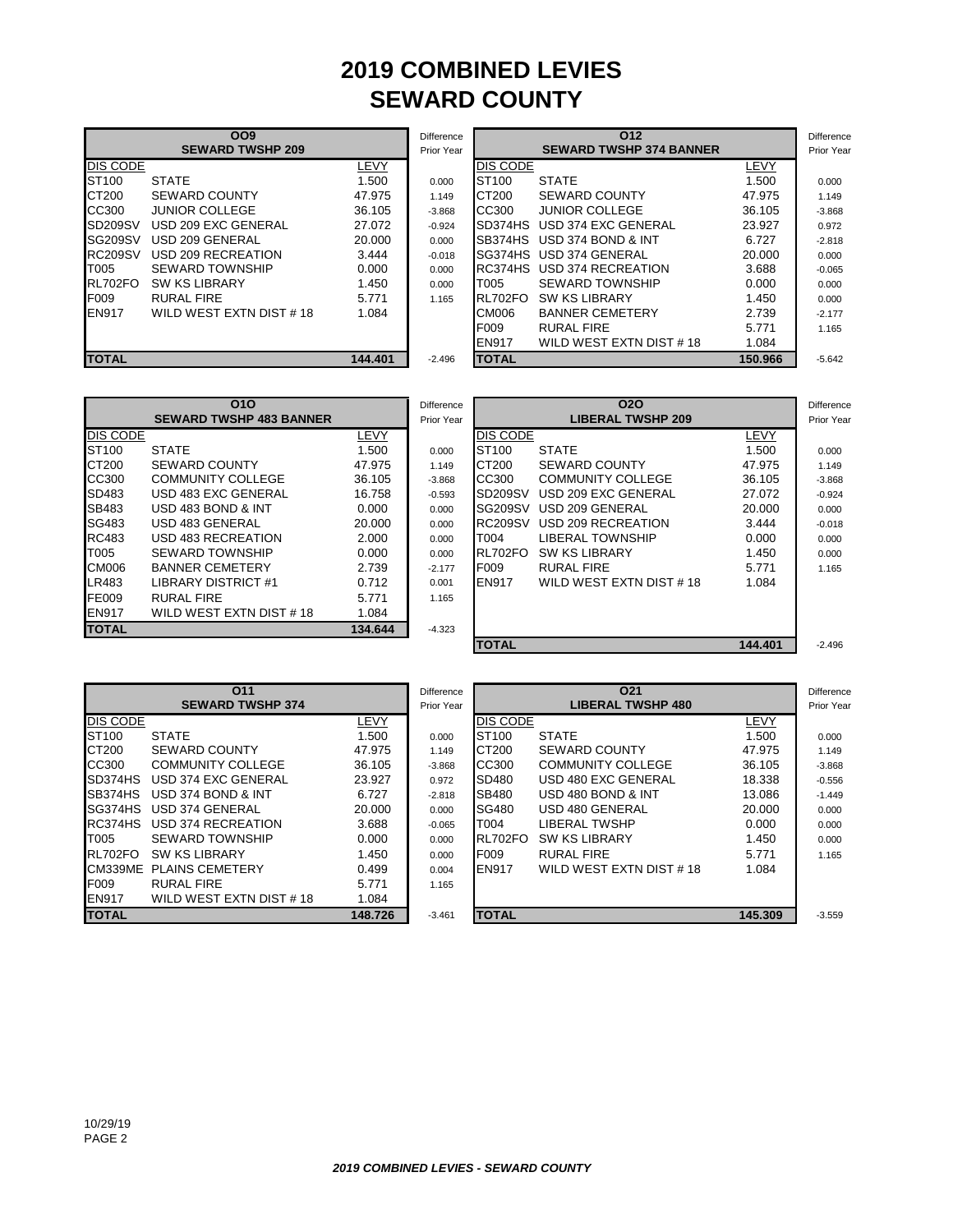## **2019 COMBINED LEVIES SEWARD COUNTY**

|                 | <b>OO9</b>              |         | <b>Difference</b> |                                | 012                     |        |
|-----------------|-------------------------|---------|-------------------|--------------------------------|-------------------------|--------|
|                 | <b>SEWARD TWSHP 209</b> |         | Prior Year        | <b>SEWARD TWSHP 374 BANNER</b> |                         |        |
| <b>DIS CODE</b> |                         | LEVY    |                   | <b>DIS CODE</b>                |                         | LEVY   |
| ST100           | <b>STATE</b>            | 1.500   | 0.000             | ST <sub>100</sub>              | <b>STATE</b>            | 1.500  |
| CT200           | <b>SEWARD COUNTY</b>    | 47.975  | 1.149             | CT200                          | <b>SEWARD COUNTY</b>    | 47.975 |
| CC300           | <b>JUNIOR COLLEGE</b>   | 36.105  | $-3.868$          | CC300                          | <b>JUNIOR COLLEGE</b>   | 36.105 |
| SD209SV         | USD 209 EXC GENERAL     | 27.072  | $-0.924$          | SD374HS                        | USD 374 EXC GENERAL     | 23.927 |
| <b>SG209SV</b>  | USD 209 GENERAL         | 20,000  | 0.000             | SB374HS                        | USD 374 BOND & INT      | 6.727  |
| <b>RC209SV</b>  | USD 209 RECREATION      | 3.444   | $-0.018$          |                                | SG374HS USD 374 GENERAL | 20,000 |
| T005            | <b>SEWARD TOWNSHIP</b>  | 0.000   | 0.000             | RC374HS                        | USD 374 RECREATION      | 3.688  |
| RL702FO         | <b>SW KS LIBRARY</b>    | 1.450   | 0.000             | T005                           | <b>SEWARD TOWNSHIP</b>  | 0.000  |
| <b>F009</b>     | <b>RURAL FIRE</b>       | 5.771   | 1.165             | RL702FO                        | <b>SW KS LIBRARY</b>    | 1.450  |
| <b>EN917</b>    | WILD WEST EXTN DIST #18 | 1.084   |                   | CM006                          | <b>BANNER CEMETERY</b>  | 2.739  |
|                 |                         |         |                   | F009                           | <b>RURAL FIRE</b>       | 5.771  |
|                 |                         |         |                   | EN917                          | WILD WEST EXTN DIST #18 | 1.084  |
| <b>TOTAL</b>    |                         | 144.401 | $-2.496$          | <b>TOTAL</b>                   |                         | 150.96 |

|                | <b>OO9</b>              |         | <b>Difference</b> |                   | 012                            |         | Difference        |
|----------------|-------------------------|---------|-------------------|-------------------|--------------------------------|---------|-------------------|
|                | <b>SEWARD TWSHP 209</b> |         | Prior Year        |                   | <b>SEWARD TWSHP 374 BANNER</b> |         | <b>Prior Year</b> |
| DIS CODE       |                         | LEVY    |                   | <b>DIS CODE</b>   |                                | LEVY    |                   |
| ST100          | <b>STATE</b>            | 1.500   | 0.000             | ST <sub>100</sub> | <b>STATE</b>                   | 1.500   | 0.000             |
| CT200          | <b>SEWARD COUNTY</b>    | 47.975  | 1.149             | CT200             | <b>SEWARD COUNTY</b>           | 47.975  | 1.149             |
| CC300          | <b>JUNIOR COLLEGE</b>   | 36.105  | $-3.868$          | CC300             | <b>JUNIOR COLLEGE</b>          | 36.105  | $-3.868$          |
| <b>SD209SV</b> | USD 209 EXC GENERAL     | 27.072  | $-0.924$          | SD374HS           | USD 374 EXC GENERAL            | 23.927  | 0.972             |
| SG209SV        | USD 209 GENERAL         | 20.000  | 0.000             | SB374HS           | USD 374 BOND & INT             | 6.727   | $-2.818$          |
| <b>RC209SV</b> | USD 209 RECREATION      | 3.444   | $-0.018$          |                   | SG374HS USD 374 GENERAL        | 20.000  | 0.000             |
| T005           | <b>SEWARD TOWNSHIP</b>  | 0.000   | 0.000             |                   | RC374HS USD 374 RECREATION     | 3.688   | $-0.065$          |
| <b>RL702FO</b> | <b>SW KS LIBRARY</b>    | 1.450   | 0.000             | T005              | <b>SEWARD TOWNSHIP</b>         | 0.000   | 0.000             |
| F009           | <b>RURAL FIRE</b>       | 5.771   | 1.165             | RL702FO           | <b>SW KS LIBRARY</b>           | 1.450   | 0.000             |
| EN917          | WILD WEST EXTN DIST #18 | 1.084   |                   | CM006             | <b>BANNER CEMETERY</b>         | 2.739   | $-2.177$          |
|                |                         |         |                   | F009              | <b>RURAL FIRE</b>              | 5.771   | 1.165             |
|                |                         |         |                   | <b>EN917</b>      | WILD WEST EXTN DIST #18        | 1.084   |                   |
| <b>TOTAL</b>   |                         | 144.401 | $-2.496$          | <b>TOTAL</b>      |                                | 150.966 | $-5.642$          |

|                 | 010                            |         | <b>Difference</b> |                   | 020                      |         |  |
|-----------------|--------------------------------|---------|-------------------|-------------------|--------------------------|---------|--|
|                 | <b>SEWARD TWSHP 483 BANNER</b> |         | Prior Year        |                   | <b>LIBERAL TWSHP 209</b> |         |  |
| <b>DIS CODE</b> |                                | LEVY    |                   | <b>DIS CODE</b>   |                          | LEVY    |  |
| ST100           | <b>STATE</b>                   | 1.500   | 0.000             | ST <sub>100</sub> | <b>STATE</b>             | 1.500   |  |
| CT200           | <b>SEWARD COUNTY</b>           | 47.975  | 1.149             | CT200             | <b>SEWARD COUNTY</b>     | 47.975  |  |
| CC300           | COMMUNITY COLLEGE              | 36.105  | $-3.868$          | CC300             | <b>COMMUNITY COLLEGE</b> | 36.105  |  |
| SD483           | USD 483 EXC GENERAL            | 16.758  | $-0.593$          | SD209SV           | USD 209 EXC GENERAL      | 27.072  |  |
| <b>SB483</b>    | USD 483 BOND & INT             | 0.000   | 0.000             | SG209SV           | USD 209 GENERAL          | 20.000  |  |
| SG483           | USD 483 GENERAL                | 20,000  | 0.000             | <b>RC209SV</b>    | USD 209 RECREATION       | 3.444   |  |
| <b>RC483</b>    | USD 483 RECREATION             | 2.000   | 0.000             | T004              | <b>LIBERAL TOWNSHIP</b>  | 0.000   |  |
| T005            | <b>SEWARD TOWNSHIP</b>         | 0.000   | 0.000             | RL702FO           | <b>SW KS LIBRARY</b>     | 1.450   |  |
| <b>CM006</b>    | <b>BANNER CEMETERY</b>         | 2.739   | $-2.177$          | F009              | <b>RURAL FIRE</b>        | 5.771   |  |
| LR483           | LIBRARY DISTRICT #1            | 0.712   | 0.001             | <b>EN917</b>      | WILD WEST EXTN DIST #18  | 1.084   |  |
| FE009           | <b>RURAL FIRE</b>              | 5.771   | 1.165             |                   |                          |         |  |
| <b>EN917</b>    | WILD WEST EXTN DIST #18        | 1.084   |                   |                   |                          |         |  |
| <b>TOTAL</b>    |                                | 134.644 | $-4.323$          |                   |                          |         |  |
|                 |                                |         |                   | <b>TOTAL</b>      |                          | $111.0$ |  |

|              | 010                            |         | Difference |                   | 020                      |         | <b>Difference</b> |
|--------------|--------------------------------|---------|------------|-------------------|--------------------------|---------|-------------------|
|              | <b>SEWARD TWSHP 483 BANNER</b> |         | Prior Year |                   | <b>LIBERAL TWSHP 209</b> |         |                   |
| DIS CODE     |                                | LEVY    |            | <b>DIS CODE</b>   |                          | LEVY    |                   |
| ST100        | <b>STATE</b>                   | 1.500   | 0.000      | ST <sub>100</sub> | <b>STATE</b>             | 1.500   | 0.000             |
| CT200        | <b>SEWARD COUNTY</b>           | 47.975  | 1.149      | CT200             | <b>SEWARD COUNTY</b>     | 47.975  | 1.149             |
| CC300        | <b>COMMUNITY COLLEGE</b>       | 36.105  | $-3.868$   | CC300             | <b>COMMUNITY COLLEGE</b> | 36.105  | $-3.868$          |
| SD483        | USD 483 EXC GENERAL            | 16.758  | $-0.593$   | SD209SV           | USD 209 EXC GENERAL      | 27.072  | $-0.924$          |
| SB483        | USD 483 BOND & INT             | 0.000   | 0.000      | <b>SG209SV</b>    | USD 209 GENERAL          | 20.000  | 0.000             |
| SG483        | USD 483 GENERAL                | 20.000  | 0.000      | <b>RC209SV</b>    | USD 209 RECREATION       | 3.444   | $-0.018$          |
| RC483        | USD 483 RECREATION             | 2.000   | 0.000      | T <sub>0</sub> 04 | LIBERAL TOWNSHIP         | 0.000   | 0.000             |
| T005         | <b>SEWARD TOWNSHIP</b>         | 0.000   | 0.000      | RL702FO           | <b>SW KS LIBRARY</b>     | 1.450   | 0.000             |
| CM006        | <b>BANNER CEMETERY</b>         | 2.739   | $-2.177$   | F <sub>009</sub>  | <b>RURAL FIRE</b>        | 5.771   | 1.165             |
| LR483        | LIBRARY DISTRICT #1            | 0.712   | 0.001      | <b>EN917</b>      | WILD WEST EXTN DIST #18  | 1.084   |                   |
| FE009        | <b>RURAL FIRE</b>              | 5.771   | 1.165      |                   |                          |         |                   |
| <b>EN917</b> | WILD WEST EXTN DIST #18        | 1.084   |            |                   |                          |         |                   |
| <b>TOTAL</b> |                                | 134.644 | $-4.323$   |                   |                          |         |                   |
|              |                                |         |            | <b>TOTAL</b>      |                          | 144.401 | $-2.496$          |

|                   | 011                      |         | <b>Difference</b> |                   | O <sub>21</sub>          |         | Difference |
|-------------------|--------------------------|---------|-------------------|-------------------|--------------------------|---------|------------|
|                   | <b>SEWARD TWSHP 374</b>  |         | Prior Year        |                   | <b>LIBERAL TWSHP 480</b> |         | Prior Year |
| DIS CODE          |                          | LEVY    |                   | <b>DIS CODE</b>   |                          | LEVY    |            |
| ST <sub>100</sub> | <b>STATE</b>             | 1.500   | 0.000             | ST <sub>100</sub> | <b>STATE</b>             | 1.500   | 0.000      |
| CT200             | <b>SEWARD COUNTY</b>     | 47.975  | 1.149             | CT200             | <b>SEWARD COUNTY</b>     | 47.975  | 1.149      |
| CC300             | <b>COMMUNITY COLLEGE</b> | 36.105  | $-3.868$          | CC300             | <b>COMMUNITY COLLEGE</b> | 36.105  | $-3.868$   |
| SD374HS           | USD 374 EXC GENERAL      | 23.927  | 0.972             | SD480             | USD 480 EXC GENERAL      | 18.338  | $-0.556$   |
| SB374HS           | USD 374 BOND & INT       | 6.727   | $-2.818$          | SB480             | USD 480 BOND & INT       | 13.086  | $-1.449$   |
| SG374HS           | USD 374 GENERAL          | 20,000  | 0.000             | SG480             | USD 480 GENERAL          | 20.000  | 0.000      |
| RC374HS           | USD 374 RECREATION       | 3.688   | $-0.065$          | T004              | LIBERAL TWSHP            | 0.000   | 0.000      |
| T005              | <b>SEWARD TOWNSHIP</b>   | 0.000   | 0.000             | RL702FO           | <b>SW KS LIBRARY</b>     | 1.450   | 0.000      |
| RL702FO           | <b>SW KS LIBRARY</b>     | 1.450   | 0.000             | F009              | <b>RURAL FIRE</b>        | 5.771   | 1.165      |
| CM339ME           | <b>PLAINS CEMETERY</b>   | 0.499   | 0.004             | <b>EN917</b>      | WILD WEST EXTN DIST #18  | 1.084   |            |
| F009              | <b>RURAL FIRE</b>        | 5.771   | 1.165             |                   |                          |         |            |
| <b>EN917</b>      | WILD WEST EXTN DIST #18  | 1.084   |                   |                   |                          |         |            |
| <b>TOTAL</b>      |                          | 148.726 | $-3.461$          | <b>TOTAL</b>      |                          | 145.309 | $-3.559$   |